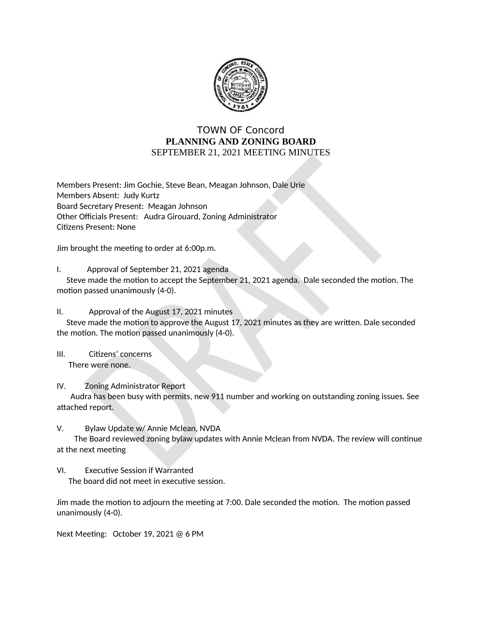

## **TOWN OF Concord** PLANNING AND ZONING BOARD SEPTEMBER 21, 2021 MEETING MINUTES

Members Present: Jim Gochie, Steve Bean, Meagan Johnson, Dale Urie Members Absent: Judy Kurtz Board Secretary Present: Meagan Johnson Other Officials Present: Audra Girouard, Zoning Administrator **Citizens Present: None** 

Jim brought the meeting to order at 6:00p.m.

Ι. Approval of September 21, 2021 agenda

Steve made the motion to accept the September 21, 2021 agenda. Dale seconded the motion. The motion passed unanimously (4-0).

Approval of the August 17, 2021 minutes  $II.$ 

Steve made the motion to approve the August 17, 2021 minutes as they are written. Dale seconded the motion. The motion passed unanimously (4-0).

 $III.$ Citizens' concerns There were none.

IV. **Zoning Administrator Report** 

Audra has been busy with permits, new 911 number and working on outstanding zoning issues. See attached report.

V. Bylaw Update w/ Annie Mclean, NVDA

The Board reviewed zoning bylaw updates with Annie Mclean from NVDA. The review will continue at the next meeting

VI. **Executive Session if Warranted** The board did not meet in executive session.

Jim made the motion to adjourn the meeting at 7:00. Dale seconded the motion. The motion passed unanimously (4-0).

Next Meeting: October 19, 2021 @ 6 PM